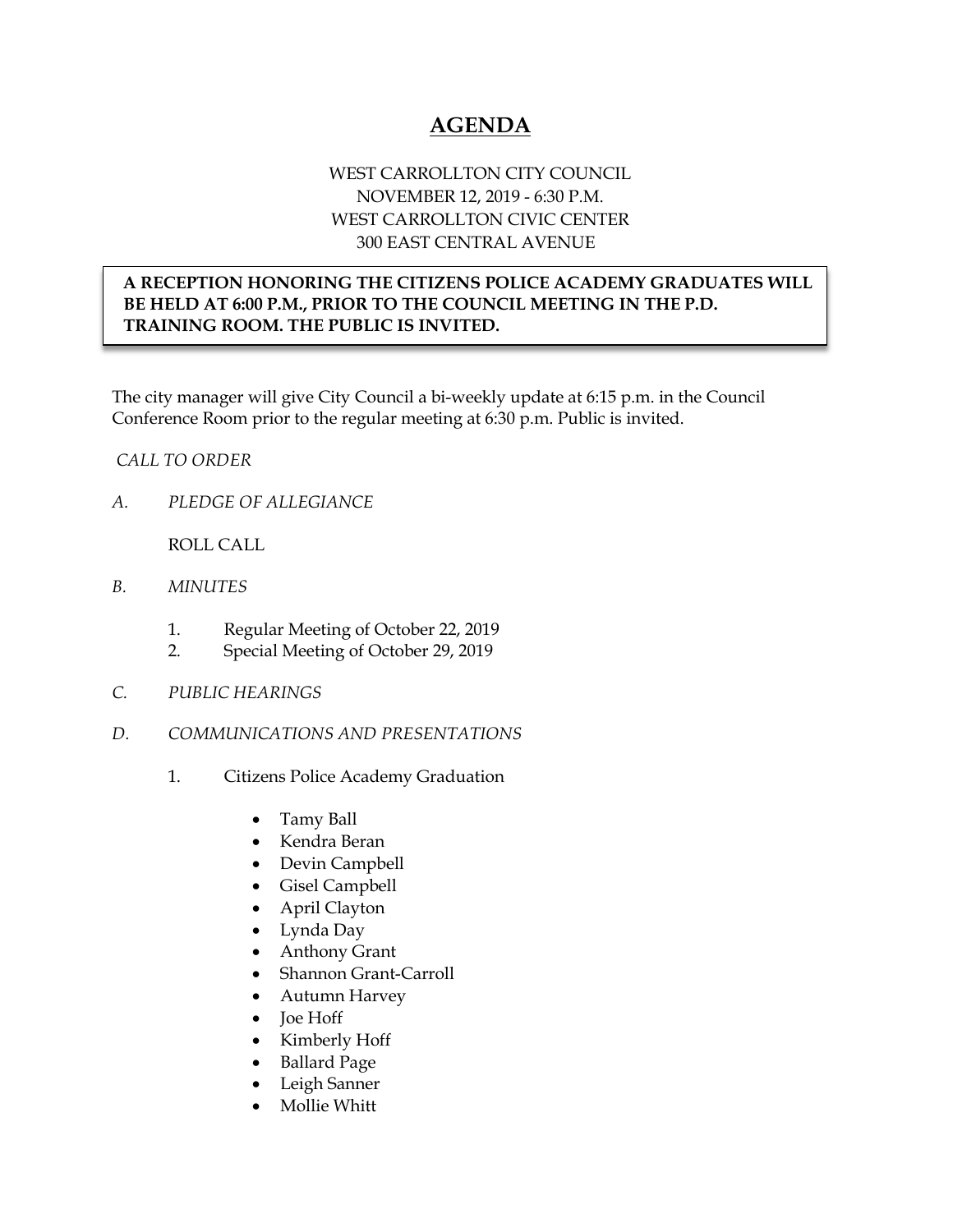# **AGENDA**

## WEST CARROLLTON CITY COUNCIL NOVEMBER 12, 2019 - 6:30 P.M. WEST CARROLLTON CIVIC CENTER 300 EAST CENTRAL AVENUE

## **A RECEPTION HONORING THE CITIZENS POLICE ACADEMY GRADUATES WILL BE HELD AT 6:00 P.M., PRIOR TO THE COUNCIL MEETING IN THE P.D. TRAINING ROOM. THE PUBLIC IS INVITED.**

The city manager will give City Council a bi-weekly update at 6:15 p.m. in the Council Conference Room prior to the regular meeting at 6:30 p.m. Public is invited.

### *CALL TO ORDER*

*A. PLEDGE OF ALLEGIANCE* 

ROLL CALL

- *B. MINUTES* 
	- 1. Regular Meeting of October 22, 2019
	- 2. Special Meeting of October 29, 2019
- *C. PUBLIC HEARINGS*
- *D. COMMUNICATIONS AND PRESENTATIONS* 
	- 1. Citizens Police Academy Graduation
		- Tamy Ball
		- Kendra Beran
		- Devin Campbell
		- Gisel Campbell
		- April Clayton
		- Lynda Day
		- Anthony Grant
		- Shannon Grant-Carroll
		- Autumn Harvey
		- Joe Hoff
		- Kimberly Hoff
		- Ballard Page
		- Leigh Sanner
		- Mollie Whitt